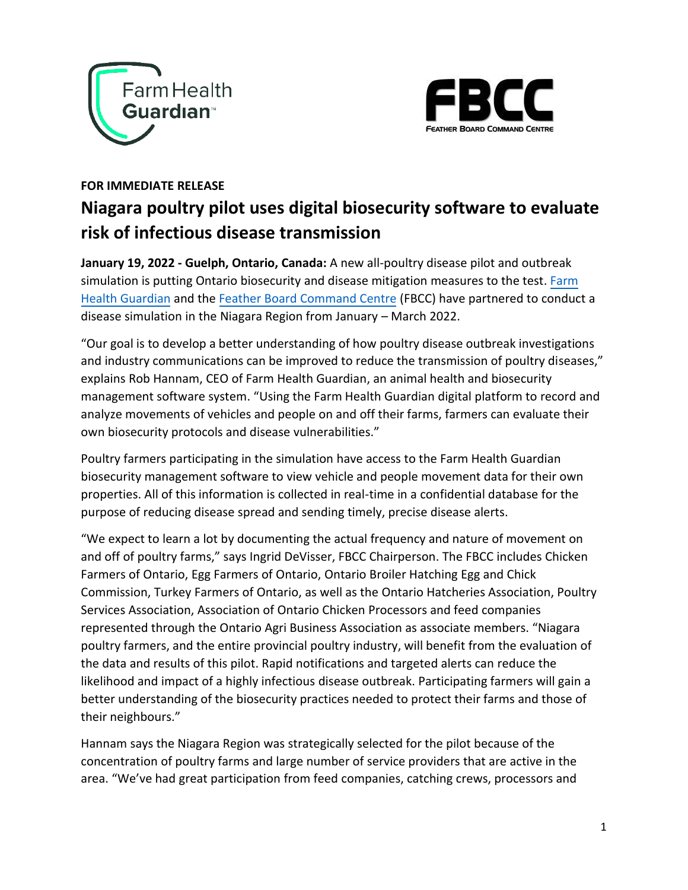



## **FOR IMMEDIATE RELEASE Niagara poultry pilot uses digital biosecurity software to evaluate risk of infectious disease transmission**

**January 19, 2022 - Guelph, Ontario, Canada:** A new all-poultry disease pilot and outbreak simulation is putting Ontario biosecurity and disease mitigation measures to the test[. Farm](https://farmhealthguardian.com/) [Health Guardian](https://farmhealthguardian.com/) and th[e Feather Board Command Centre](https://www.fbcc.ca/) (FBCC) have partnered to conduct a disease simulation in the Niagara Region from January – March 2022.

"Our goal is to develop a better understanding of how poultry disease outbreak investigations and industry communications can be improved to reduce the transmission of poultry diseases," explains Rob Hannam, CEO of Farm Health Guardian, an animal health and biosecurity management software system. "Using the Farm Health Guardian digital platform to record and analyze movements of vehicles and people on and off their farms, farmers can evaluate their own biosecurity protocols and disease vulnerabilities."

Poultry farmers participating in the simulation have access to the Farm Health Guardian biosecurity management software to view vehicle and people movement data for their own properties. All of this information is collected in real-time in a confidential database for the purpose of reducing disease spread and sending timely, precise disease alerts.

"We expect to learn a lot by documenting the actual frequency and nature of movement on and off of poultry farms," says Ingrid DeVisser, FBCC Chairperson. The FBCC includes Chicken Farmers of Ontario, Egg Farmers of Ontario, Ontario Broiler Hatching Egg and Chick Commission, Turkey Farmers of Ontario, as well as the Ontario Hatcheries Association, Poultry Services Association, Association of Ontario Chicken Processors and feed companies represented through the Ontario Agri Business Association as associate members. "Niagara poultry farmers, and the entire provincial poultry industry, will benefit from the evaluation of the data and results of this pilot. Rapid notifications and targeted alerts can reduce the likelihood and impact of a highly infectious disease outbreak. Participating farmers will gain a better understanding of the biosecurity practices needed to protect their farms and those of their neighbours."

Hannam says the Niagara Region was strategically selected for the pilot because of the concentration of poultry farms and large number of service providers that are active in the area. "We've had great participation from feed companies, catching crews, processors and